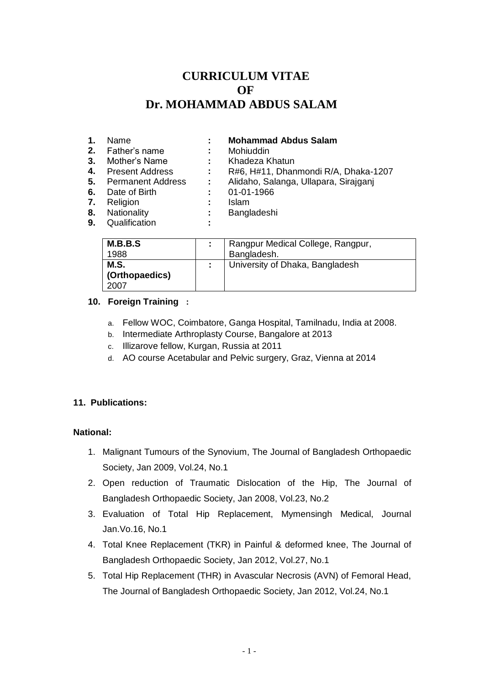# **CURRICULUM VITAE OF** OF  **Dr. MOHAMMAD ABDUS SALAM**

| 1.<br>2.<br>3.<br>4.<br>5.<br>6.<br>7.<br>8.<br>9. | Name<br>Father's name<br>Mother's Name<br><b>Present Address</b><br><b>Permanent Address</b><br>Date of Birth<br>Religion<br>Nationality<br>Qualification | ÷<br>÷ | <b>Mohammad Abdus Salam</b><br>Mohiuddin<br>Khadeza Khatun<br>R#6, H#11, Dhanmondi R/A, Dhaka-1207<br>Alidaho, Salanga, Ullapara, Sirajganj<br>01-01-1966<br><b>Islam</b><br>Bangladeshi |
|----------------------------------------------------|-----------------------------------------------------------------------------------------------------------------------------------------------------------|--------|------------------------------------------------------------------------------------------------------------------------------------------------------------------------------------------|
|----------------------------------------------------|-----------------------------------------------------------------------------------------------------------------------------------------------------------|--------|------------------------------------------------------------------------------------------------------------------------------------------------------------------------------------------|

| M.B.B.S        |  | Rangpur Medical College, Rangpur, |
|----------------|--|-----------------------------------|
| 1988           |  | Bangladesh.                       |
| M.S.           |  | University of Dhaka, Bangladesh   |
| (Orthopaedics) |  |                                   |
| 2007           |  |                                   |

## **10. Foreign Training :**

- a. Fellow WOC, Coimbatore, Ganga Hospital, Tamilnadu, India at 2008.
- b. Intermediate Arthroplasty Course, Bangalore at 2013
- c. Illizarove fellow, Kurgan, Russia at 2011
- d. AO course Acetabular and Pelvic surgery, Graz, Vienna at 2014

# **11. Publications:**

#### **National:**

- 1. Malignant Tumours of the Synovium, The Journal of Bangladesh Orthopaedic Society, Jan 2009, Vol.24, No.1
- 2. Open reduction of Traumatic Dislocation of the Hip, The Journal of Bangladesh Orthopaedic Society, Jan 2008, Vol.23, No.2
- 3. Evaluation of Total Hip Replacement, Mymensingh Medical, Journal Jan.Vo.16, No.1
- 4. Total Knee Replacement (TKR) in Painful & deformed knee, The Journal of Bangladesh Orthopaedic Society, Jan 2012, Vol.27, No.1
- 5. Total Hip Replacement (THR) in Avascular Necrosis (AVN) of Femoral Head, The Journal of Bangladesh Orthopaedic Society, Jan 2012, Vol.24, No.1